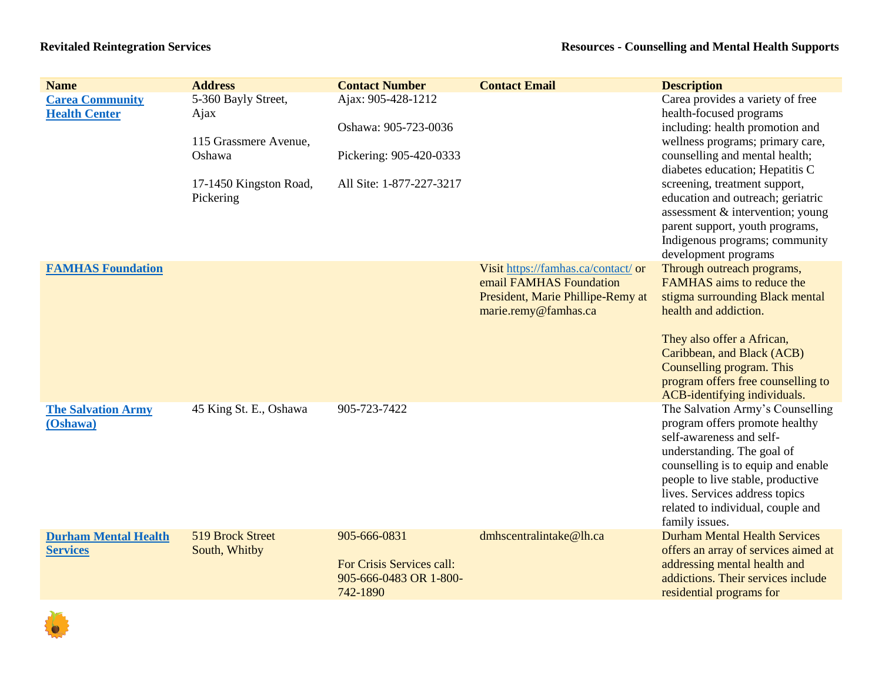| <b>Name</b>                                    | <b>Address</b>                                                                                        | <b>Contact Number</b>                                                                             | <b>Contact Email</b>                                                                                                        | <b>Description</b>                                                                                                                                                                                                                                                                                                                                                                                             |
|------------------------------------------------|-------------------------------------------------------------------------------------------------------|---------------------------------------------------------------------------------------------------|-----------------------------------------------------------------------------------------------------------------------------|----------------------------------------------------------------------------------------------------------------------------------------------------------------------------------------------------------------------------------------------------------------------------------------------------------------------------------------------------------------------------------------------------------------|
| <b>Carea Community</b><br><b>Health Center</b> | 5-360 Bayly Street,<br>Ajax<br>115 Grassmere Avenue,<br>Oshawa<br>17-1450 Kingston Road,<br>Pickering | Ajax: 905-428-1212<br>Oshawa: 905-723-0036<br>Pickering: 905-420-0333<br>All Site: 1-877-227-3217 |                                                                                                                             | Carea provides a variety of free<br>health-focused programs<br>including: health promotion and<br>wellness programs; primary care,<br>counselling and mental health;<br>diabetes education; Hepatitis C<br>screening, treatment support,<br>education and outreach; geriatric<br>assessment & intervention; young<br>parent support, youth programs,<br>Indigenous programs; community<br>development programs |
| <b>FAMHAS Foundation</b>                       |                                                                                                       |                                                                                                   | Visit https://famhas.ca/contact/ or<br>email FAMHAS Foundation<br>President, Marie Phillipe-Remy at<br>marie.remy@famhas.ca | Through outreach programs,<br>FAMHAS aims to reduce the<br>stigma surrounding Black mental<br>health and addiction.<br>They also offer a African,<br>Caribbean, and Black (ACB)<br>Counselling program. This<br>program offers free counselling to<br>ACB-identifying individuals.                                                                                                                             |
| <b>The Salvation Army</b><br>(Oshawa)          | 45 King St. E., Oshawa                                                                                | 905-723-7422                                                                                      |                                                                                                                             | The Salvation Army's Counselling<br>program offers promote healthy<br>self-awareness and self-<br>understanding. The goal of<br>counselling is to equip and enable<br>people to live stable, productive<br>lives. Services address topics<br>related to individual, couple and<br>family issues.                                                                                                               |
| <b>Durham Mental Health</b><br><b>Services</b> | 519 Brock Street<br>South, Whitby                                                                     | 905-666-0831<br>For Crisis Services call:<br>905-666-0483 OR 1-800-<br>742-1890                   | dmhscentralintake@lh.ca                                                                                                     | <b>Durham Mental Health Services</b><br>offers an array of services aimed at<br>addressing mental health and<br>addictions. Their services include<br>residential programs for                                                                                                                                                                                                                                 |

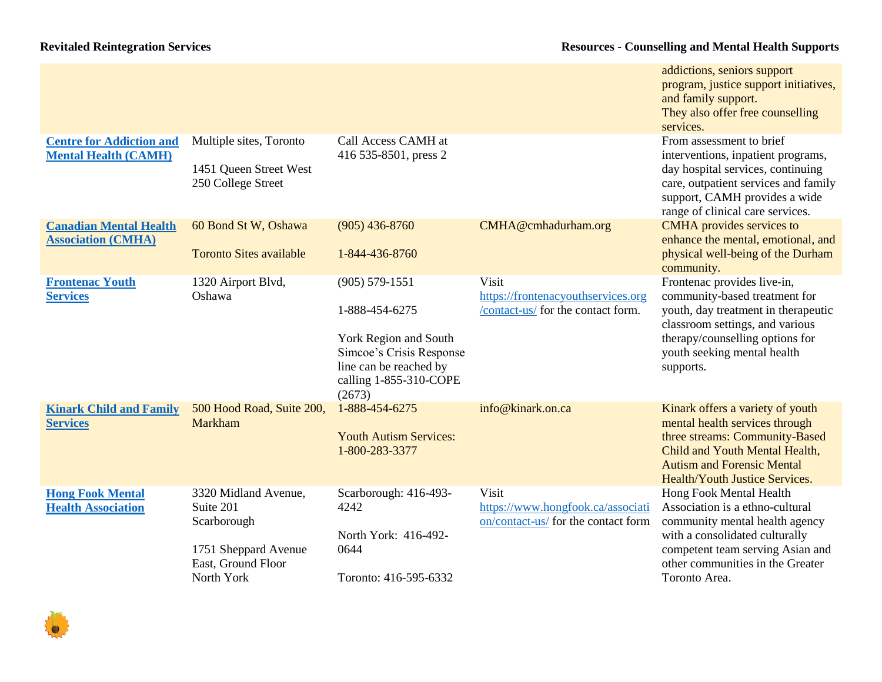|                                                                |                                                                                                              |                                                                                                                                                         |                                                                                   | addictions, seniors support<br>program, justice support initiatives,<br>and family support.<br>They also offer free counselling<br>services.                                                                            |
|----------------------------------------------------------------|--------------------------------------------------------------------------------------------------------------|---------------------------------------------------------------------------------------------------------------------------------------------------------|-----------------------------------------------------------------------------------|-------------------------------------------------------------------------------------------------------------------------------------------------------------------------------------------------------------------------|
| <b>Centre for Addiction and</b><br><b>Mental Health (CAMH)</b> | Multiple sites, Toronto<br>1451 Queen Street West<br>250 College Street                                      | Call Access CAMH at<br>416 535-8501, press 2                                                                                                            |                                                                                   | From assessment to brief<br>interventions, inpatient programs,<br>day hospital services, continuing<br>care, outpatient services and family<br>support, CAMH provides a wide<br>range of clinical care services.        |
| <b>Canadian Mental Health</b><br><b>Association (CMHA)</b>     | 60 Bond St W, Oshawa<br><b>Toronto Sites available</b>                                                       | $(905)$ 436-8760<br>1-844-436-8760                                                                                                                      | CMHA@cmhadurham.org                                                               | <b>CMHA</b> provides services to<br>enhance the mental, emotional, and<br>physical well-being of the Durham<br>community.                                                                                               |
| <b>Frontenac Youth</b><br><b>Services</b>                      | 1320 Airport Blvd,<br>Oshawa                                                                                 | $(905) 579 - 1551$<br>1-888-454-6275<br>York Region and South<br>Simcoe's Crisis Response<br>line can be reached by<br>calling 1-855-310-COPE<br>(2673) | Visit<br>https://frontenacyouthservices.org<br>/contact-us/ for the contact form. | Frontenac provides live-in,<br>community-based treatment for<br>youth, day treatment in therapeutic<br>classroom settings, and various<br>therapy/counselling options for<br>youth seeking mental health<br>supports.   |
| <b>Kinark Child and Family</b><br><b>Services</b>              | 500 Hood Road, Suite 200,<br>Markham                                                                         | 1-888-454-6275<br><b>Youth Autism Services:</b><br>1-800-283-3377                                                                                       | info@kinark.on.ca                                                                 | Kinark offers a variety of youth<br>mental health services through<br>three streams: Community-Based<br>Child and Youth Mental Health,<br><b>Autism and Forensic Mental</b><br>Health/Youth Justice Services.           |
| <b>Hong Fook Mental</b><br><b>Health Association</b>           | 3320 Midland Avenue,<br>Suite 201<br>Scarborough<br>1751 Sheppard Avenue<br>East, Ground Floor<br>North York | Scarborough: 416-493-<br>4242<br>North York: 416-492-<br>0644<br>Toronto: 416-595-6332                                                                  | Visit<br>https://www.hongfook.ca/associati<br>on/contact-us/ for the contact form | Hong Fook Mental Health<br>Association is a ethno-cultural<br>community mental health agency<br>with a consolidated culturally<br>competent team serving Asian and<br>other communities in the Greater<br>Toronto Area. |

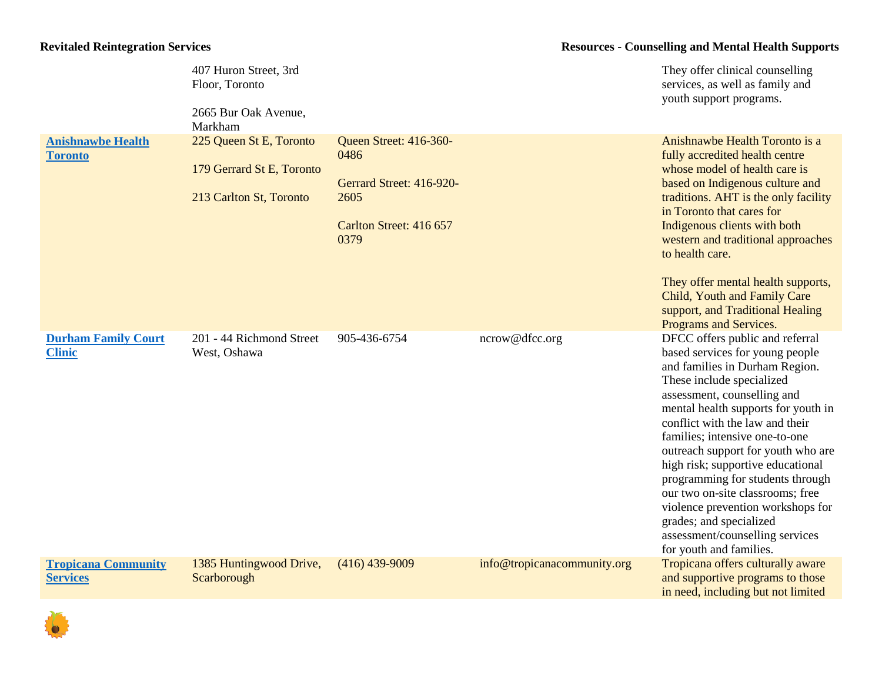|                                               | 407 Huron Street, 3rd<br>Floor, Toronto<br>2665 Bur Oak Avenue,<br>Markham      |                                                                                                       |                             | They offer clinical counselling<br>services, as well as family and<br>youth support programs.                                                                                                                                                                                                                                                                                                                                                                                                                                                                 |
|-----------------------------------------------|---------------------------------------------------------------------------------|-------------------------------------------------------------------------------------------------------|-----------------------------|---------------------------------------------------------------------------------------------------------------------------------------------------------------------------------------------------------------------------------------------------------------------------------------------------------------------------------------------------------------------------------------------------------------------------------------------------------------------------------------------------------------------------------------------------------------|
| <b>Anishnawbe Health</b><br><b>Toronto</b>    | 225 Queen St E, Toronto<br>179 Gerrard St E, Toronto<br>213 Carlton St, Toronto | Queen Street: 416-360-<br>0486<br>Gerrard Street: 416-920-<br>2605<br>Carlton Street: 416 657<br>0379 |                             | Anishnawbe Health Toronto is a<br>fully accredited health centre<br>whose model of health care is<br>based on Indigenous culture and<br>traditions. AHT is the only facility<br>in Toronto that cares for<br>Indigenous clients with both<br>western and traditional approaches<br>to health care.<br>They offer mental health supports,<br>Child, Youth and Family Care<br>support, and Traditional Healing<br>Programs and Services.                                                                                                                        |
| <b>Durham Family Court</b><br><b>Clinic</b>   | 201 - 44 Richmond Street<br>West, Oshawa                                        | 905-436-6754                                                                                          | ncrow@dfcc.org              | DFCC offers public and referral<br>based services for young people<br>and families in Durham Region.<br>These include specialized<br>assessment, counselling and<br>mental health supports for youth in<br>conflict with the law and their<br>families; intensive one-to-one<br>outreach support for youth who are<br>high risk; supportive educational<br>programming for students through<br>our two on-site classrooms; free<br>violence prevention workshops for<br>grades; and specialized<br>assessment/counselling services<br>for youth and families. |
| <b>Tropicana Community</b><br><b>Services</b> | 1385 Huntingwood Drive,<br>Scarborough                                          | $(416)$ 439-9009                                                                                      | info@tropicanacommunity.org | Tropicana offers culturally aware<br>and supportive programs to those<br>in need, including but not limited                                                                                                                                                                                                                                                                                                                                                                                                                                                   |

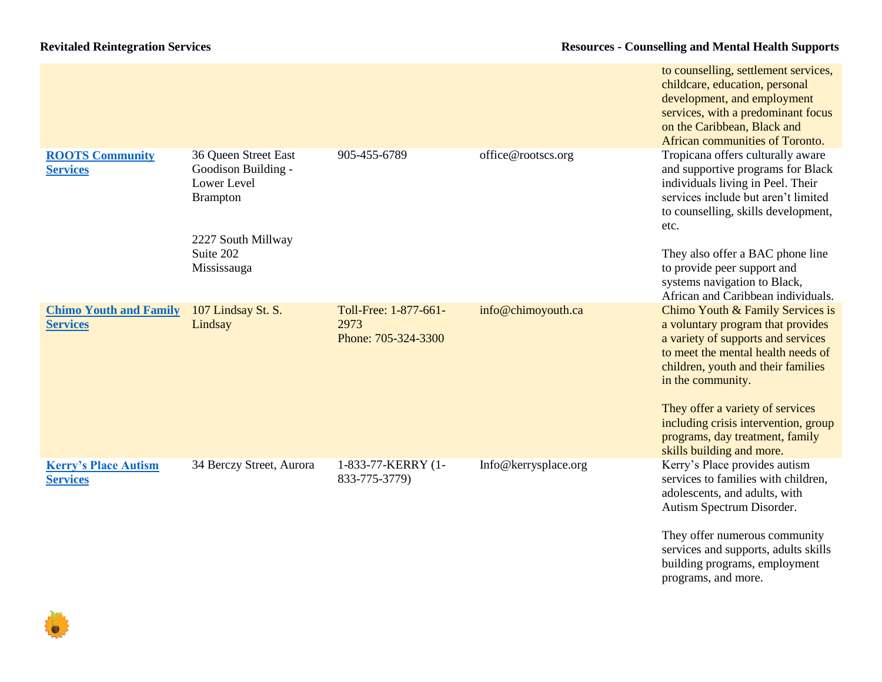|                                                  |                                                                                                                                 |                                                      |                      | to counselling, settlement services,<br>childcare, education, personal<br>development, and employment<br>services, with a predominant focus<br>on the Caribbean, Black and<br>African communities of Toronto.                                                        |
|--------------------------------------------------|---------------------------------------------------------------------------------------------------------------------------------|------------------------------------------------------|----------------------|----------------------------------------------------------------------------------------------------------------------------------------------------------------------------------------------------------------------------------------------------------------------|
| <b>ROOTS Community</b><br><b>Services</b>        | 36 Queen Street East<br>Goodison Building -<br>Lower Level<br><b>Brampton</b><br>2227 South Millway<br>Suite 202<br>Mississauga | 905-455-6789                                         | office@rootscs.org   | Tropicana offers culturally aware<br>and supportive programs for Black<br>individuals living in Peel. Their<br>services include but aren't limited<br>to counselling, skills development,<br>etc.<br>They also offer a BAC phone line<br>to provide peer support and |
|                                                  |                                                                                                                                 |                                                      |                      | systems navigation to Black,                                                                                                                                                                                                                                         |
| <b>Chimo Youth and Family</b><br><b>Services</b> | 107 Lindsay St. S.<br>Lindsay                                                                                                   | Toll-Free: 1-877-661-<br>2973<br>Phone: 705-324-3300 | info@chimoyouth.ca   | African and Caribbean individuals.<br>Chimo Youth & Family Services is<br>a voluntary program that provides<br>a variety of supports and services<br>to meet the mental health needs of<br>children, youth and their families<br>in the community.                   |
|                                                  |                                                                                                                                 |                                                      |                      | They offer a variety of services<br>including crisis intervention, group<br>programs, day treatment, family<br>skills building and more.                                                                                                                             |
| <b>Kerry's Place Autism</b><br><b>Services</b>   | 34 Berczy Street, Aurora                                                                                                        | 1-833-77-KERRY (1-<br>833-775-3779)                  | Info@kerrysplace.org | Kerry's Place provides autism<br>services to families with children,<br>adolescents, and adults, with<br>Autism Spectrum Disorder.<br>They offer numerous community<br>services and supports, adults skills<br>building programs, employment<br>programs, and more.  |

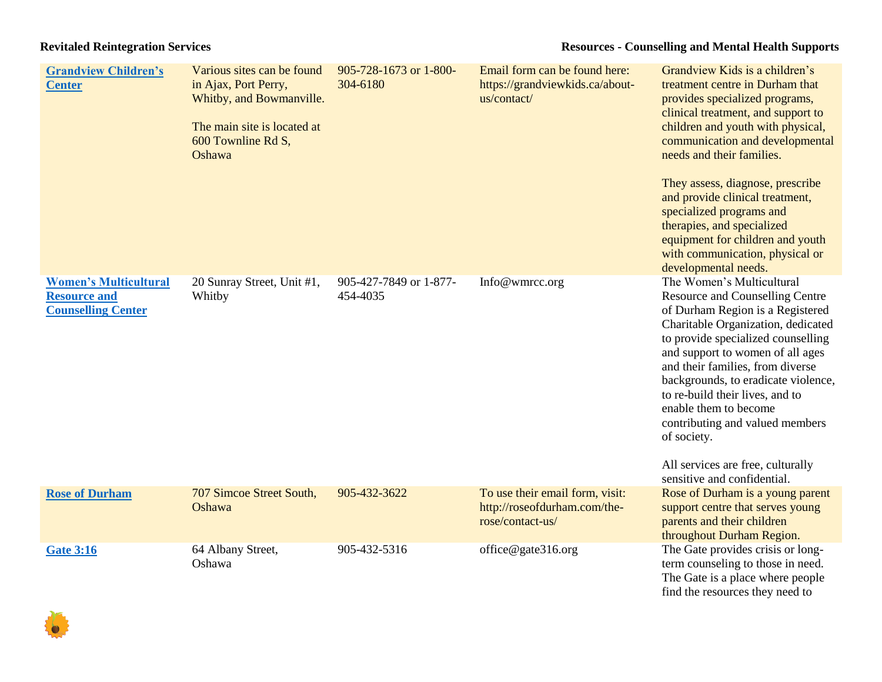| <b>Grandview Children's</b><br><b>Center</b>                                     | Various sites can be found<br>in Ajax, Port Perry,<br>Whitby, and Bowmanville.<br>The main site is located at<br>600 Townline Rd S,<br>Oshawa | 905-728-1673 or 1-800-<br>304-6180 | Email form can be found here:<br>https://grandviewkids.ca/about-<br>us/contact/     | Grandview Kids is a children's<br>treatment centre in Durham that<br>provides specialized programs,<br>clinical treatment, and support to<br>children and youth with physical,<br>communication and developmental<br>needs and their families.<br>They assess, diagnose, prescribe<br>and provide clinical treatment,<br>specialized programs and<br>therapies, and specialized<br>equipment for children and youth<br>with communication, physical or                                                       |
|----------------------------------------------------------------------------------|-----------------------------------------------------------------------------------------------------------------------------------------------|------------------------------------|-------------------------------------------------------------------------------------|--------------------------------------------------------------------------------------------------------------------------------------------------------------------------------------------------------------------------------------------------------------------------------------------------------------------------------------------------------------------------------------------------------------------------------------------------------------------------------------------------------------|
| <b>Women's Multicultural</b><br><b>Resource and</b><br><b>Counselling Center</b> | 20 Sunray Street, Unit #1,<br>Whitby                                                                                                          | 905-427-7849 or 1-877-<br>454-4035 | Info@wmrcc.org                                                                      | developmental needs.<br>The Women's Multicultural<br><b>Resource and Counselling Centre</b><br>of Durham Region is a Registered<br>Charitable Organization, dedicated<br>to provide specialized counselling<br>and support to women of all ages<br>and their families, from diverse<br>backgrounds, to eradicate violence,<br>to re-build their lives, and to<br>enable them to become<br>contributing and valued members<br>of society.<br>All services are free, culturally<br>sensitive and confidential. |
| <b>Rose of Durham</b>                                                            | 707 Simcoe Street South,<br>Oshawa                                                                                                            | 905-432-3622                       | To use their email form, visit:<br>http://roseofdurham.com/the-<br>rose/contact-us/ | Rose of Durham is a young parent<br>support centre that serves young<br>parents and their children<br>throughout Durham Region.                                                                                                                                                                                                                                                                                                                                                                              |
| <b>Gate 3:16</b>                                                                 | 64 Albany Street,<br>Oshawa                                                                                                                   | 905-432-5316                       | office@gate316.org                                                                  | The Gate provides crisis or long-<br>term counseling to those in need.<br>The Gate is a place where people<br>find the resources they need to                                                                                                                                                                                                                                                                                                                                                                |

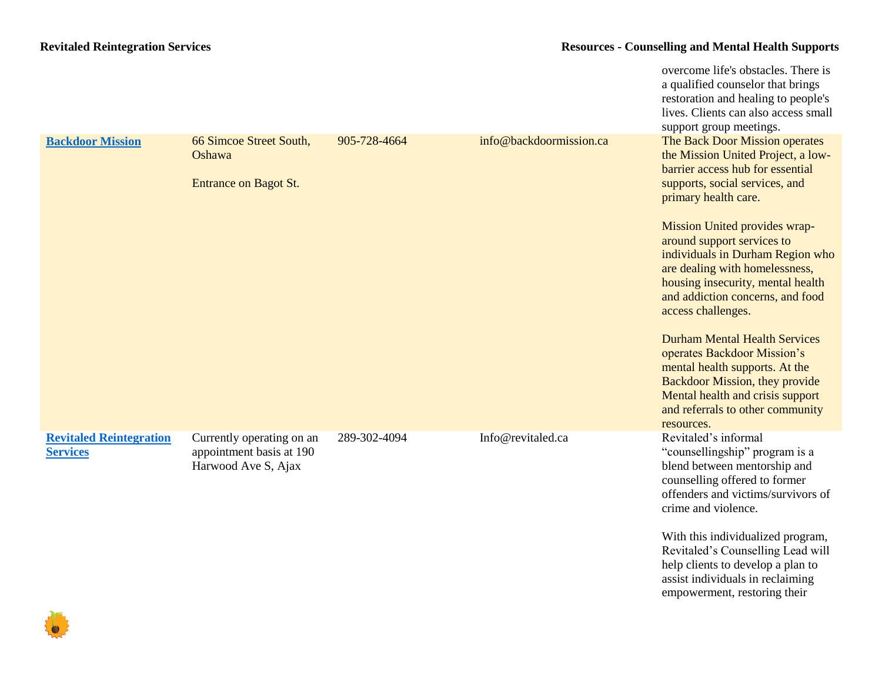|                                                   |                                                                              |              |                         | overcome life's obstacles. There is<br>a qualified counselor that brings<br>restoration and healing to people's<br>lives. Clients can also access small<br>support group meetings.                                                   |
|---------------------------------------------------|------------------------------------------------------------------------------|--------------|-------------------------|--------------------------------------------------------------------------------------------------------------------------------------------------------------------------------------------------------------------------------------|
| <b>Backdoor Mission</b>                           | 66 Simcoe Street South,<br>Oshawa<br>Entrance on Bagot St.                   | 905-728-4664 | info@backdoormission.ca | The Back Door Mission operates<br>the Mission United Project, a low-<br>barrier access hub for essential<br>supports, social services, and<br>primary health care.                                                                   |
|                                                   |                                                                              |              |                         | Mission United provides wrap-<br>around support services to<br>individuals in Durham Region who<br>are dealing with homelessness,<br>housing insecurity, mental health<br>and addiction concerns, and food<br>access challenges.     |
|                                                   |                                                                              |              |                         | <b>Durham Mental Health Services</b><br>operates Backdoor Mission's<br>mental health supports. At the<br><b>Backdoor Mission, they provide</b><br>Mental health and crisis support<br>and referrals to other community<br>resources. |
| <b>Revitaled Reintegration</b><br><b>Services</b> | Currently operating on an<br>appointment basis at 190<br>Harwood Ave S, Ajax | 289-302-4094 | Info@revitaled.ca       | Revitaled's informal<br>"counsellingship" program is a<br>blend between mentorship and<br>counselling offered to former<br>offenders and victims/survivors of<br>crime and violence.                                                 |
|                                                   |                                                                              |              |                         | With this individualized program,<br>Revitaled's Counselling Lead will<br>help clients to develop a plan to<br>assist individuals in reclaiming<br>empowerment, restoring their                                                      |